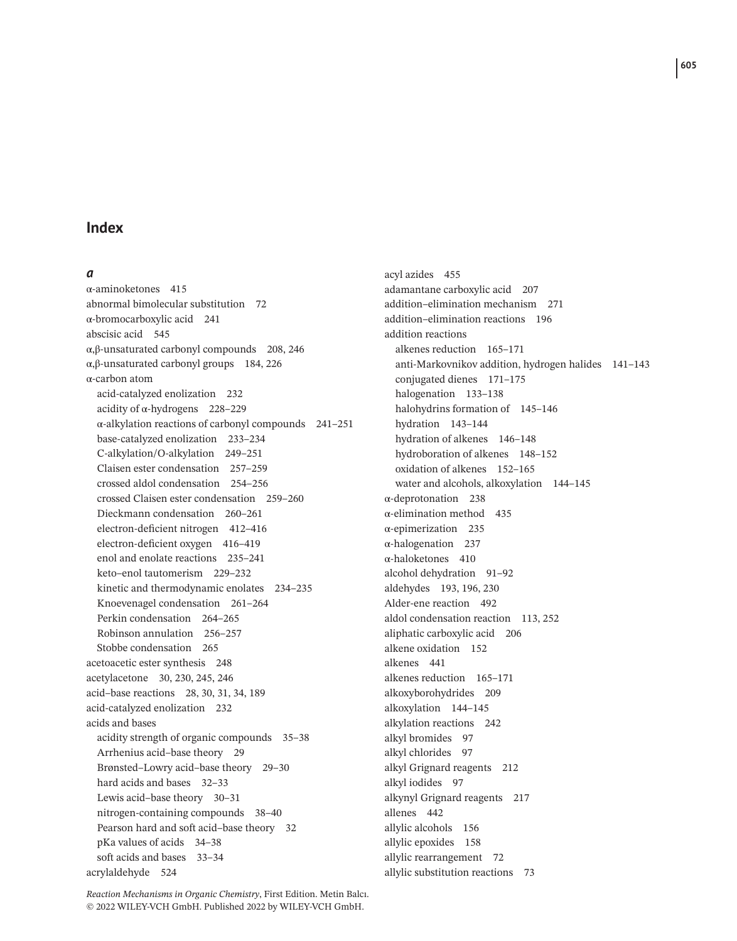### **Index**

### *a*

α-aminoketones 415 abnormal bimolecular substitution 72 α-bromocarboxylic acid 241 abscisic acid 545 α,β-unsaturated carbonyl compounds 208, 246 α,β-unsaturated carbonyl groups 184, 226 α-carbon atom acid-catalyzed enolization 232 acidity of α-hydrogens 228–229 α-alkylation reactions of carbonyl compounds 241–251 base-catalyzed enolization 233–234 C-alkylation/O-alkylation 249–251 Claisen ester condensation 257–259 crossed aldol condensation 254–256 crossed Claisen ester condensation 259–260 Dieckmann condensation 260–261 electron-deficient nitrogen 412–416 electron-deficient oxygen 416–419 enol and enolate reactions 235–241 keto–enol tautomerism 229–232 kinetic and thermodynamic enolates 234–235 Knoevenagel condensation 261–264 Perkin condensation 264–265 Robinson annulation 256–257 Stobbe condensation 265 acetoacetic ester synthesis 248 acetylacetone 30, 230, 245, 246 acid–base reactions 28, 30, 31, 34, 189 acid-catalyzed enolization 232 acids and bases acidity strength of organic compounds 35–38 Arrhenius acid–base theory 29 Brønsted–Lowry acid–base theory 29–30 hard acids and bases 32-33 Lewis acid–base theory 30–31 nitrogen-containing compounds 38–40 Pearson hard and soft acid–base theory 32 pKa values of acids 34–38 soft acids and bases 33–34 acrylaldehyde 524

acyl azides 455 adamantane carboxylic acid 207 addition–elimination mechanism 271 addition–elimination reactions 196 addition reactions alkenes reduction 165–171 anti-Markovnikov addition, hydrogen halides 141–143 conjugated dienes 171–175 halogenation 133–138 halohydrins formation of 145–146 hydration 143–144 hydration of alkenes 146–148 hydroboration of alkenes 148–152 oxidation of alkenes 152–165 water and alcohols, alkoxylation 144–145 α-deprotonation 238 α-elimination method 435 α-epimerization 235 α-halogenation 237 α-haloketones 410 alcohol dehydration 91–92 aldehydes 193, 196, 230 Alder-ene reaction 492 aldol condensation reaction 113, 252 aliphatic carboxylic acid 206 alkene oxidation 152 alkenes 441 alkenes reduction 165–171 alkoxyborohydrides 209 alkoxylation 144–145 alkylation reactions 242 alkyl bromides 97 alkyl chlorides 97 alkyl Grignard reagents 212 alkyl iodides 97 alkynyl Grignard reagents 217 allenes 442 allylic alcohols 156 allylic epoxides 158 allylic rearrangement 72 allylic substitution reactions 73

*Reaction Mechanisms in Organic Chemistry*, First Edition. Metin Balcı. © 2022 WILEY-VCH GmbH. Published 2022 by WILEY-VCH GmbH.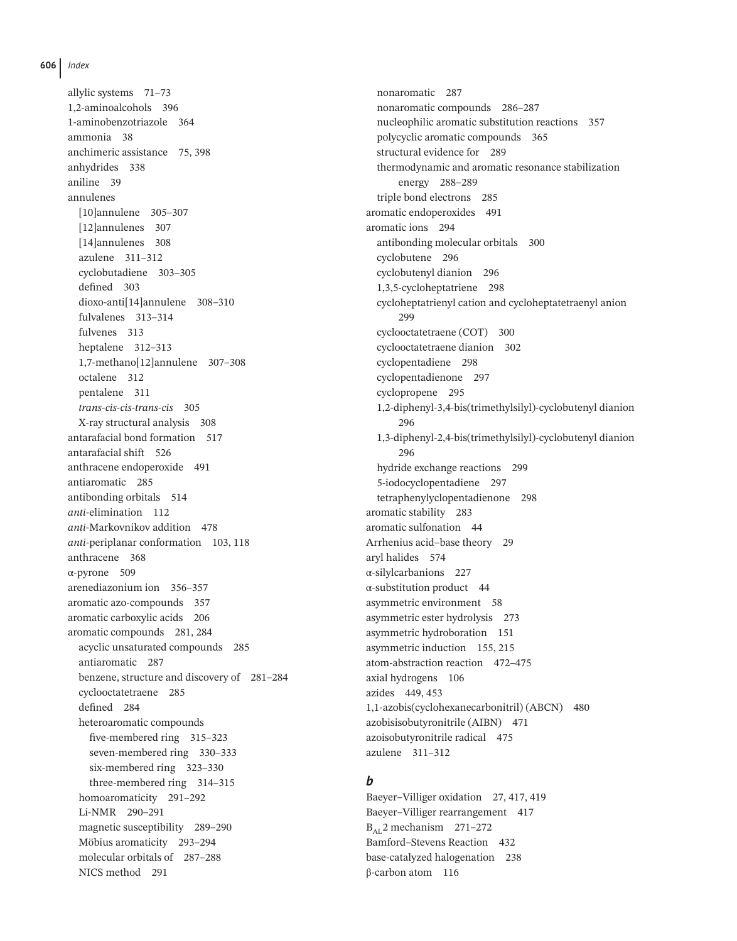allylic systems 71–73 1,2-aminoalcohols 396 1-aminobenzotriazole 364 ammonia 38 anchimeric assistance 75, 398 anhydrides 338 aniline 39 annulenes [10]annulene 305–307 [12]annulenes 307 [14]annulenes 308 azulene 311–312 cyclobutadiene 303–305 defined 303 dioxo-anti[14]annulene 308–310 fulvalenes 313–314 fulvenes 313 heptalene 312–313 1,7-methano[12]annulene 307–308 octalene 312 pentalene 311 *trans-cis-cis-trans-cis* 305 X-ray structural analysis 308 antarafacial bond formation 517 antarafacial shift 526 anthracene endoperoxide 491 antiaromatic 285 antibonding orbitals 514 *anti*-elimination 112 *anti*-Markovnikov addition 478 *anti*-periplanar conformation 103, 118 anthracene 368 α-pyrone 509 arenediazonium ion 356–357 aromatic azo-compounds 357 aromatic carboxylic acids 206 aromatic compounds 281, 284 acyclic unsaturated compounds 285 antiaromatic 287 benzene, structure and discovery of 281–284 cyclooctatetraene 285 defined 284 heteroaromatic compounds five-membered ring 315–323 seven-membered ring 330–333 six-membered ring 323–330 three-membered ring 314–315 homoaromaticity 291–292 Li-NMR 290–291 magnetic susceptibility 289–290 Möbius aromaticity 293–294 molecular orbitals of 287–288 NICS method 291

nonaromatic 287 nonaromatic compounds 286–287 nucleophilic aromatic substitution reactions 357 polycyclic aromatic compounds 365 structural evidence for 289 thermodynamic and aromatic resonance stabilization energy 288–289 triple bond electrons 285 aromatic endoperoxides 491 aromatic ions 294 antibonding molecular orbitals 300 cyclobutene 296 cyclobutenyl dianion 296 1,3,5-cycloheptatriene 298 cycloheptatrienyl cation and cycloheptatetraenyl anion  $299$ cyclooctatetraene (COT) 300 cyclooctatetraene dianion 302 cyclopentadiene 298 cyclopentadienone 297 cyclopropene 295 1,2-diphenyl-3,4-bis(trimethylsilyl)-cyclobutenyl dianion 296 1,3-diphenyl-2,4-bis(trimethylsilyl)-cyclobutenyl dianion 296 hydride exchange reactions 299 5-iodocyclopentadiene 297 tetraphenylyclopentadienone 298 aromatic stability 283 aromatic sulfonation 44 Arrhenius acid–base theory 29 aryl halides 574 α-silylcarbanions 227 α-substitution product 44 asymmetric environment 58 asymmetric ester hydrolysis 273 asymmetric hydroboration 151 asymmetric induction 155, 215 atom-abstraction reaction 472–475 axial hydrogens 106 azides 449, 453 1,1-azobis(cyclohexanecarbonitril) (ABCN) 480 azobisisobutyronitrile (AIBN) 471 azoisobutyronitrile radical 475 azulene 311–312

### *b*

Baeyer–Villiger oxidation 27, 417, 419 Baeyer–Villiger rearrangement 417  $B_{\text{AT}}$  2 mechanism 271–272 Bamford–Stevens Reaction 432 base-catalyzed halogenation 238 β-carbon atom 116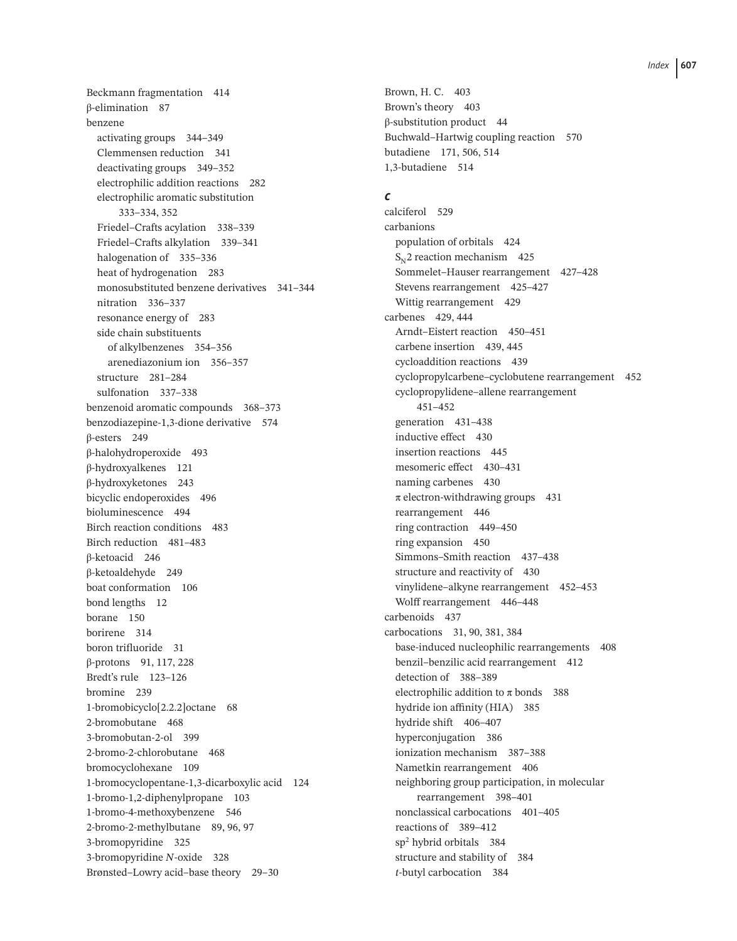Beckmann fragmentation 414 β-elimination 87 benzene activating groups 344–349 Clemmensen reduction 341 deactivating groups 349–352 electrophilic addition reactions 282 electrophilic aromatic substitution 333–334, 352 Friedel–Crafts acylation 338–339 Friedel–Crafts alkylation 339–341 halogenation of 335–336 heat of hydrogenation 283 monosubstituted benzene derivatives 341–344 nitration 336–337 resonance energy of 283 side chain substituents of alkylbenzenes 354–356 arenediazonium ion 356–357 structure 281–284 sulfonation 337–338 benzenoid aromatic compounds 368–373 benzodiazepine-1,3-dione derivative 574 β-esters 249 β-halohydroperoxide 493 β-hydroxyalkenes 121 β-hydroxyketones 243 bicyclic endoperoxides 496 bioluminescence 494 Birch reaction conditions 483 Birch reduction 481–483 β-ketoacid 246 β-ketoaldehyde 249 boat conformation 106 bond lengths 12 borane 150 borirene 314 boron trifluoride 31 β-protons 91, 117, 228 Bredt's rule 123–126 bromine 239 1-bromobicyclo[2.2.2]octane 68 2-bromobutane 468 3-bromobutan-2-ol 399 2-bromo-2-chlorobutane 468 bromocyclohexane 109 1-bromocyclopentane-1,3-dicarboxylic acid 124 1-bromo-1,2-diphenylpropane 103 1-bromo-4-methoxybenzene 546 2-bromo-2-methylbutane 89, 96, 97 3-bromopyridine 325 3-bromopyridine *N*-oxide 328 Brønsted–Lowry acid–base theory 29–30

Brown, H. C. 403 Brown's theory 403 β-substitution product 44 Buchwald–Hartwig coupling reaction 570 butadiene 171, 506, 514 1,3-butadiene 514

# *c*

calciferol 529 carbanions population of orbitals 424  $S_{N2}$  reaction mechanism 425 Sommelet–Hauser rearrangement 427–428 Stevens rearrangement 425–427 Wittig rearrangement 429 carbenes 429, 444 Arndt–Eistert reaction 450–451 carbene insertion 439, 445 cycloaddition reactions 439 cyclopropylcarbene–cyclobutene rearrangement 452 cyclopropylidene–allene rearrangement 451–452 generation 431–438 inductive effect 430 insertion reactions 445 mesomeric effect 430–431 naming carbenes 430  $\pi$  electron-withdrawing groups 431 rearrangement 446 ring contraction 449–450 ring expansion 450 Simmons–Smith reaction 437–438 structure and reactivity of 430 vinylidene–alkyne rearrangement 452–453 Wolff rearrangement 446–448 carbenoids 437 carbocations 31, 90, 381, 384 base-induced nucleophilic rearrangements 408 benzil–benzilic acid rearrangement 412 detection of 388–389 electrophilic addition to  $\pi$  bonds 388 hydride ion affinity (HIA) 385 hydride shift 406–407 hyperconjugation 386 ionization mechanism 387–388 Nametkin rearrangement 406 neighboring group participation, in molecular rearrangement 398–401 nonclassical carbocations 401–405 reactions of 389–412 sp2 hybrid orbitals 384 structure and stability of 384 *t*-butyl carbocation 384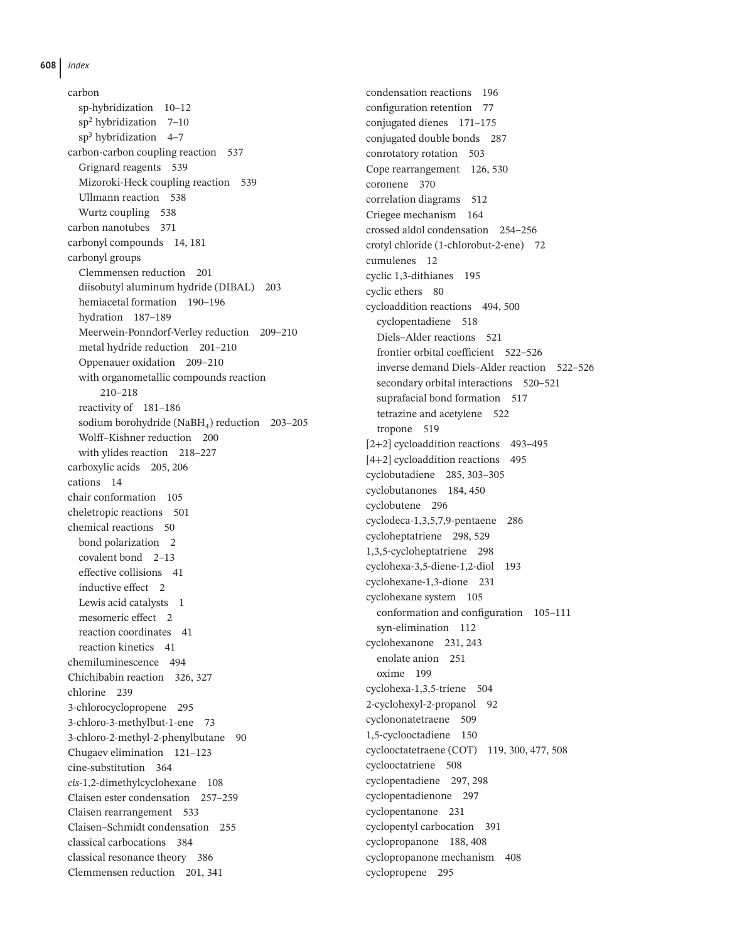carbon sp-hybridization 10–12  $\text{sn}^2$  hybridization 7–10  $sp<sup>3</sup>$  hybridization 4–7 carbon-carbon coupling reaction 537 Grignard reagents 539 Mizoroki-Heck coupling reaction 539 Ullmann reaction 538 Wurtz coupling 538 carbon nanotubes 371 carbonyl compounds 14, 181 carbonyl groups Clemmensen reduction 201 diisobutyl aluminum hydride (DIBAL) 203 hemiacetal formation 190–196 hydration 187–189 Meerwein-Ponndorf-Verley reduction 209–210 metal hydride reduction 201–210 Oppenauer oxidation 209–210 with organometallic compounds reaction 210–218 reactivity of 181–186 sodium borohydride (NaBH<sub>4</sub>) reduction 203-205 Wolff–Kishner reduction 200 with ylides reaction 218–227 carboxylic acids 205, 206 cations 14 chair conformation 105 cheletropic reactions 501 chemical reactions 50 bond polarization 2 covalent bond 2–13 effective collisions 41 inductive effect 2 Lewis acid catalysts 1 mesomeric effect 2 reaction coordinates 41 reaction kinetics 41 chemiluminescence 494 Chichibabin reaction 326, 327 chlorine 239 3-chlorocyclopropene 295 3-chloro-3-methylbut-1-ene 73 3-chloro-2-methyl-2-phenylbutane 90 Chugaev elimination 121–123 cine-substitution 364 *cis*-1,2-dimethylcyclohexane 108 Claisen ester condensation 257–259 Claisen rearrangement 533 Claisen–Schmidt condensation 255 classical carbocations 384 classical resonance theory 386 Clemmensen reduction 201, 341

condensation reactions 196 configuration retention 77 conjugated dienes 171–175 conjugated double bonds 287 conrotatory rotation 503 Cope rearrangement 126, 530 coronene 370 correlation diagrams 512 Criegee mechanism 164 crossed aldol condensation 254–256 crotyl chloride (1-chlorobut-2-ene) 72 cumulenes 12 cyclic 1,3-dithianes 195 cyclic ethers 80 cycloaddition reactions 494, 500 cyclopentadiene 518 Diels–Alder reactions 521 frontier orbital coefficient 522–526 inverse demand Diels–Alder reaction 522–526 secondary orbital interactions 520–521 suprafacial bond formation 517 tetrazine and acetylene 522 tropone 519 [2+2] cycloaddition reactions 493–495 [4+2] cycloaddition reactions 495 cyclobutadiene 285, 303–305 cyclobutanones 184, 450 cyclobutene 296 cyclodeca-1,3,5,7,9-pentaene 286 cycloheptatriene 298, 529 1,3,5-cycloheptatriene 298 cyclohexa-3,5-diene-1,2-diol 193 cyclohexane-1,3-dione 231 cyclohexane system 105 conformation and configuration 105–111 syn-elimination 112 cyclohexanone 231, 243 enolate anion 251 oxime 199 cyclohexa-1,3,5-triene 504 2-cyclohexyl-2-propanol 92 cyclononatetraene 509 1,5-cyclooctadiene 150 cyclooctatetraene (COT) 119, 300, 477, 508 cyclooctatriene 508 cyclopentadiene 297, 298 cyclopentadienone 297 cyclopentanone 231 cyclopentyl carbocation 391 cyclopropanone 188, 408 cyclopropanone mechanism 408 cyclopropene 295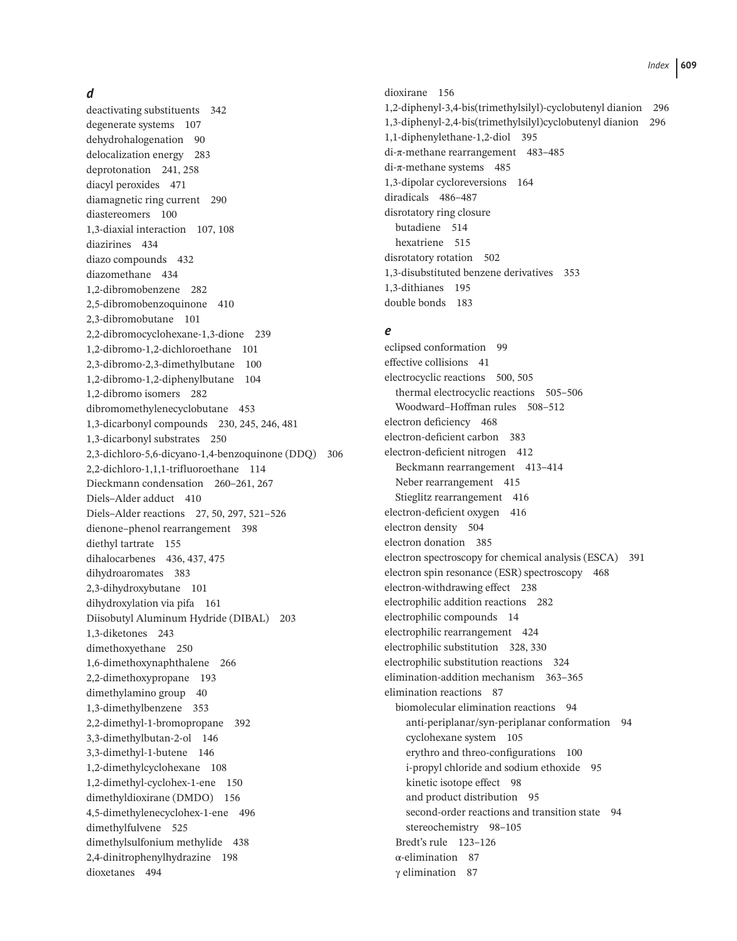### *d*

deactivating substituents 342 degenerate systems 107 dehydrohalogenation 90 delocalization energy 283 deprotonation 241, 258 diacyl peroxides 471 diamagnetic ring current 290 diastereomers 100 1,3-diaxial interaction 107, 108 diazirines 434 diazo compounds 432 diazomethane 434 1,2-dibromobenzene 282 2,5-dibromobenzoquinone 410 2,3-dibromobutane 101 2,2-dibromocyclohexane-1,3-dione 239 1,2-dibromo-1,2-dichloroethane 101 2,3-dibromo-2,3-dimethylbutane 100 1,2-dibromo-1,2-diphenylbutane 104 1,2-dibromo isomers 282 dibromomethylenecyclobutane 453 1,3-dicarbonyl compounds 230, 245, 246, 481 1,3-dicarbonyl substrates 250 2,3-dichloro-5,6-dicyano-1,4-benzoquinone (DDQ) 306 2,2-dichloro-1,1,1-trifluoroethane 114 Dieckmann condensation 260–261, 267 Diels–Alder adduct 410 Diels–Alder reactions 27, 50, 297, 521–526 dienone–phenol rearrangement 398 diethyl tartrate 155 dihalocarbenes 436, 437, 475 dihydroaromates 383 2,3-dihydroxybutane 101 dihydroxylation via pifa 161 Diisobutyl Aluminum Hydride (DIBAL) 203 1,3-diketones 243 dimethoxyethane 250 1,6-dimethoxynaphthalene 266 2,2-dimethoxypropane 193 dimethylamino group 40 1,3-dimethylbenzene 353 2,2-dimethyl-1-bromopropane 392 3,3-dimethylbutan-2-ol 146 3,3-dimethyl-1-butene 146 1,2-dimethylcyclohexane 108 1,2-dimethyl-cyclohex-1-ene 150 dimethyldioxirane (DMDO) 156 4,5-dimethylenecyclohex-1-ene 496 dimethylfulvene 525 dimethylsulfonium methylide 438 2,4-dinitrophenylhydrazine 198 dioxetanes 494

dioxirane 156 1,2-diphenyl-3,4-bis(trimethylsilyl)-cyclobutenyl dianion 296 1,3-diphenyl-2,4-bis(trimethylsilyl)cyclobutenyl dianion 296 1,1-diphenylethane-1,2-diol 395 di-π-methane rearrangement 483–485 di-π-methane systems 485 1,3-dipolar cycloreversions 164 diradicals 486–487 disrotatory ring closure butadiene 514 hexatriene 515 disrotatory rotation 502 1,3-disubstituted benzene derivatives 353 1,3-dithianes 195 double bonds 183

### *e*

eclipsed conformation 99 effective collisions 41 electrocyclic reactions 500, 505 thermal electrocyclic reactions 505–506 Woodward–Hoffman rules 508–512 electron deficiency 468 electron-deficient carbon 383 electron-deficient nitrogen 412 Beckmann rearrangement 413–414 Neber rearrangement 415 Stieglitz rearrangement 416 electron-deficient oxygen 416 electron density 504 electron donation 385 electron spectroscopy for chemical analysis (ESCA) 391 electron spin resonance (ESR) spectroscopy 468 electron-withdrawing effect 238 electrophilic addition reactions 282 electrophilic compounds 14 electrophilic rearrangement 424 electrophilic substitution 328, 330 electrophilic substitution reactions 324 elimination-addition mechanism 363–365 elimination reactions 87 biomolecular elimination reactions 94 anti-periplanar/syn-periplanar conformation 94 cyclohexane system 105 erythro and threo-configurations 100 i-propyl chloride and sodium ethoxide 95 kinetic isotope effect 98 and product distribution 95 second-order reactions and transition state 94 stereochemistry 98–105 Bredt's rule 123–126 α-elimination 87 γ elimination 87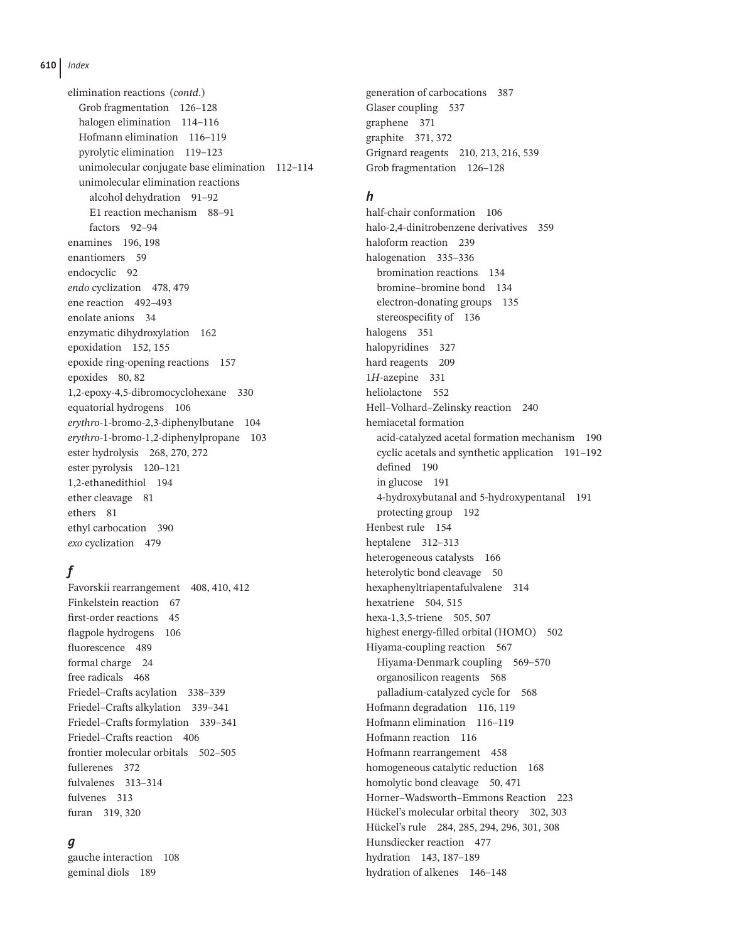elimination reactions (*contd*.) Grob fragmentation 126–128 halogen elimination 114–116 Hofmann elimination 116–119 pyrolytic elimination 119–123 unimolecular conjugate base elimination 112–114 unimolecular elimination reactions alcohol dehydration 91–92 E1 reaction mechanism 88–91 factors 92–94 enamines 196, 198 enantiomers 59 endocyclic 92 *endo* cyclization 478, 479 ene reaction 492–493 enolate anions 34 enzymatic dihydroxylation 162 epoxidation 152, 155 epoxide ring-opening reactions 157 epoxides 80, 82 1,2-epoxy-4,5-dibromocyclohexane 330 equatorial hydrogens 106 *erythro*-1-bromo-2,3-diphenylbutane 104 *erythro*-1-bromo-1,2-diphenylpropane 103 ester hydrolysis 268, 270, 272 ester pyrolysis 120–121 1,2-ethanedithiol 194 ether cleavage 81 ethers 81 ethyl carbocation 390 *exo* cyclization 479

# *f*

Favorskii rearrangement 408, 410, 412 Finkelstein reaction 67 first-order reactions 45 flagpole hydrogens 106 fluorescence 489 formal charge 24 free radicals 468 Friedel–Crafts acylation 338–339 Friedel–Crafts alkylation 339–341 Friedel–Crafts formylation 339–341 Friedel–Crafts reaction 406 frontier molecular orbitals 502–505 fullerenes 372 fulvalenes 313–314 fulvenes 313 furan 319, 320

# *g*

gauche interaction 108 geminal diols 189

generation of carbocations 387 Glaser coupling 537 graphene 371 graphite 371, 372 Grignard reagents 210, 213, 216, 539 Grob fragmentation 126–128

# *h*

half-chair conformation 106 halo-2,4-dinitrobenzene derivatives 359 haloform reaction 239 halogenation 335–336 bromination reactions 134 bromine–bromine bond 134 electron-donating groups 135 stereospecifity of 136 halogens 351 halopyridines 327 hard reagents 209 1*H*-azepine 331 heliolactone 552 Hell–Volhard–Zelinsky reaction 240 hemiacetal formation acid-catalyzed acetal formation mechanism 190 cyclic acetals and synthetic application 191–192 defined 190 in glucose 191 4-hydroxybutanal and 5-hydroxypentanal 191 protecting group 192 Henbest rule 154 heptalene 312–313 heterogeneous catalysts 166 heterolytic bond cleavage 50 hexaphenyltriapentafulvalene 314 hexatriene 504, 515 hexa-1,3,5-triene 505, 507 highest energy-filled orbital (HOMO) 502 Hiyama-coupling reaction 567 Hiyama-Denmark coupling 569–570 organosilicon reagents 568 palladium-catalyzed cycle for 568 Hofmann degradation 116, 119 Hofmann elimination 116–119 Hofmann reaction 116 Hofmann rearrangement 458 homogeneous catalytic reduction 168 homolytic bond cleavage 50, 471 Horner–Wadsworth–Emmons Reaction 223 Hückel's molecular orbital theory 302, 303 Hückel's rule 284, 285, 294, 296, 301, 308 Hunsdiecker reaction 477 hydration 143, 187–189 hydration of alkenes 146–148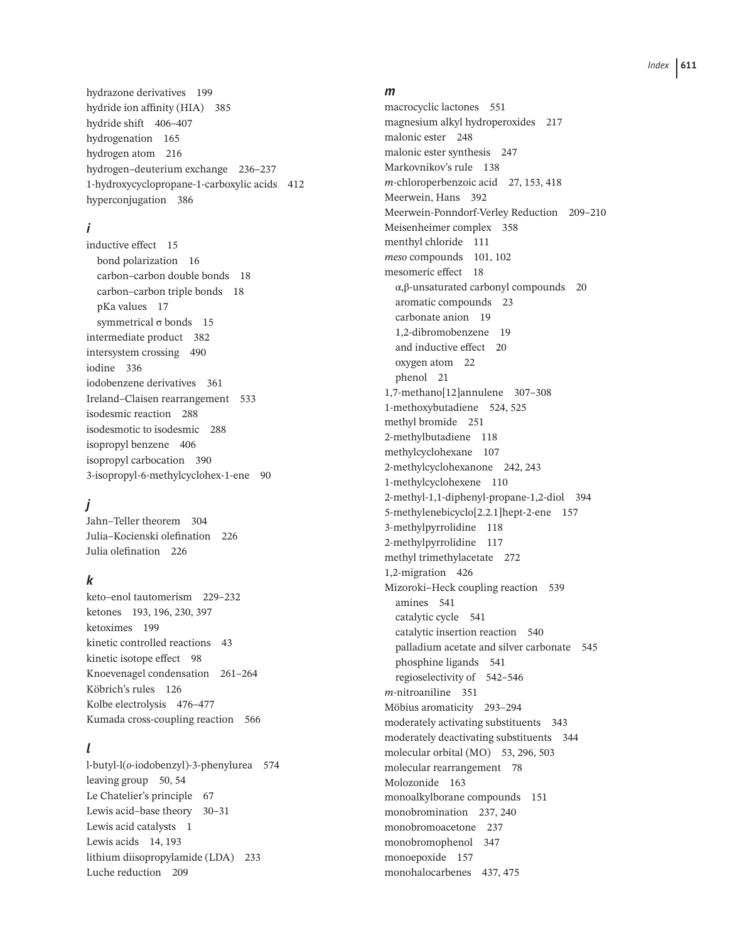hydrazone derivatives 199 hydride ion affinity (HIA) 385 hydride shift 406–407 hydrogenation 165 hydrogen atom 216 hydrogen–deuterium exchange 236–237 1-hydroxycyclopropane-1-carboxylic acids 412 hyperconjugation 386

### *i*

inductive effect 15 bond polarization 16 carbon–carbon double bonds 18 carbon–carbon triple bonds 18 pKa values 17 symmetrical σ bonds 15 intermediate product 382 intersystem crossing 490 iodine 336 iodobenzene derivatives 361 Ireland–Claisen rearrangement 533 isodesmic reaction 288 isodesmotic to isodesmic 288 isopropyl benzene 406 isopropyl carbocation 390 3-isopropyl-6-methylcyclohex-1-ene 90

# *j*

Jahn–Teller theorem 304 Julia–Kocienski olefination 226 Julia olefination 226

# *k*

keto–enol tautomerism 229–232 ketones 193, 196, 230, 397 ketoximes 199 kinetic controlled reactions 43 kinetic isotope effect 98 Knoevenagel condensation 261–264 Köbrich's rules 126 Kolbe electrolysis 476–477 Kumada cross-coupling reaction 566

# *l*

l-butyl-l( *o*-iodobenzyl)-3-phenylurea 574 leaving group 50, 54 Le Chatelier's principle 67 Lewis acid–base theory 30–31 Lewis acid catalysts 1 Lewis acids 14, 193 lithium diisopropylamide (LDA) 233 Luche reduction 209

#### *m*

macrocyclic lactones 551 magnesium alkyl hydroperoxides 217 malonic ester 248 malonic ester synthesis 247 Markovnikov's rule 138 *m*-chloroperbenzoic acid 27, 153, 418 Meerwein, Hans 392 Meerwein-Ponndorf-Verley Reduction 209–210 Meisenheimer complex 358 menthyl chloride 111 *meso* compounds 101, 102 mesomeric effect 18 α,β-unsaturated carbonyl compounds 20 aromatic compounds 23 carbonate anion 19 1,2-dibromobenzene 19 and inductive effect 20 oxygen atom 22 phenol 21 1,7-methano[12]annulene 307–308 1-methoxybutadiene 524, 525 methyl bromide 251 2-methylbutadiene 118 methylcyclohexane 107 2-methylcyclohexanone 242, 243 1-methylcyclohexene 110 2-methyl-1,1-diphenyl-propane-1,2-diol 394 5-methylenebicyclo[2.2.1]hept-2-ene 157 3-methylpyrrolidine 118 2-methylpyrrolidine 117 methyl trimethylacetate 272 1,2-migration 426 Mizoroki–Heck coupling reaction 539 amines 541 catalytic cycle 541 catalytic insertion reaction 540 palladium acetate and silver carbonate 545 phosphine ligands 541 regioselectivity of 542–546 *m*-nitroaniline 351 Möbius aromaticity 293–294 moderately activating substituents 343 moderately deactivating substituents 344 molecular orbital (MO) 53, 296, 503 molecular rearrangement 78 Molozonide 163 monoalkylborane compounds 151 monobromination 237, 240 monobromoacetone 237 monobromophenol 347 monoepoxide 157 monohalocarbenes 437, 475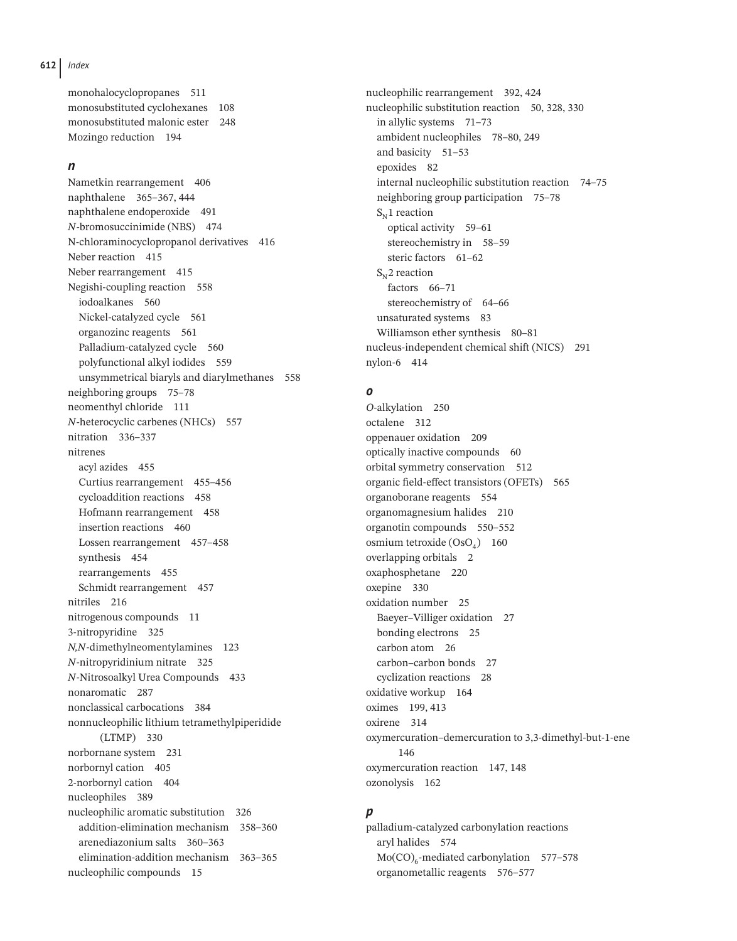**612** *Index*

monohalocyclopropanes 511 monosubstituted cyclohexanes 108 monosubstituted malonic ester 248 Mozingo reduction 194

#### *n*

Nametkin rearrangement 406 naphthalene 365–367, 444 naphthalene endoperoxide 491 *N*-bromosuccinimide (NBS) 474 N-chloraminocyclopropanol derivatives 416 Neber reaction 415 Neber rearrangement 415 Negishi-coupling reaction 558 iodoalkanes 560 Nickel-catalyzed cycle 561 organozinc reagents 561 Palladium-catalyzed cycle 560 polyfunctional alkyl iodides 559 unsymmetrical biaryls and diarylmethanes 558 neighboring groups 75–78 neomenthyl chloride 111 *N*-heterocyclic carbenes (NHCs) 557 nitration 336–337 nitrenes acyl azides 455 Curtius rearrangement 455–456 cycloaddition reactions 458 Hofmann rearrangement 458 insertion reactions 460 Lossen rearrangement 457–458 synthesis 454 rearrangements 455 Schmidt rearrangement 457 nitriles 216 nitrogenous compounds 11 3-nitropyridine 325 *N,N*-dimethylneomentylamines 123 *N*-nitropyridinium nitrate 325 *N*-Nitrosoalkyl Urea Compounds 433 nonaromatic 287 nonclassical carbocations 384 nonnucleophilic lithium tetramethylpiperidide (LTMP) 330 norbornane system 231 norbornyl cation 405 2-norbornyl cation 404 nucleophiles 389 nucleophilic aromatic substitution 326 addition-elimination mechanism 358–360 arenediazonium salts 360–363 elimination-addition mechanism 363–365 nucleophilic compounds 15

nucleophilic rearrangement 392, 424 nucleophilic substitution reaction 50, 328, 330 in allylic systems 71–73 ambident nucleophiles 78–80, 249 and basicity 51–53 epoxides 82 internal nucleophilic substitution reaction 74–75 neighboring group participation 75–78  $S_{N}$ 1 reaction optical activity 59–61 stereochemistry in 58–59 steric factors 61–62  $S_N$ 2 reaction factors 66–71 stereochemistry of 64–66 unsaturated systems 83 Williamson ether synthesis 80-81 nucleus-independent chemical shift (NICS) 291 nylon-6 414

#### *o*

*O*-alkylation 250 octalene 312 oppenauer oxidation 209 optically inactive compounds 60 orbital symmetry conservation 512 organic field-effect transistors (OFETs) 565 organoborane reagents 554 organomagnesium halides 210 organotin compounds 550–552 osmium tetroxide  $(OsO<sub>4</sub>)$  160 overlapping orbitals 2 oxaphosphetane 220 oxepine 330 oxidation number 25 Baeyer–Villiger oxidation 27 bonding electrons 25 carbon atom 26 carbon–carbon bonds 27 cyclization reactions 28 oxidative workup 164 oximes 199, 413 oxirene 314 oxymercuration–demercuration to 3,3-dimethyl-but-1-ene 146 oxymercuration reaction 147, 148 ozonolysis 162

#### *p*

palladium-catalyzed carbonylation reactions aryl halides 574  $Mo(CO)<sub>6</sub>$ -mediated carbonylation 577–578 organometallic reagents 576–577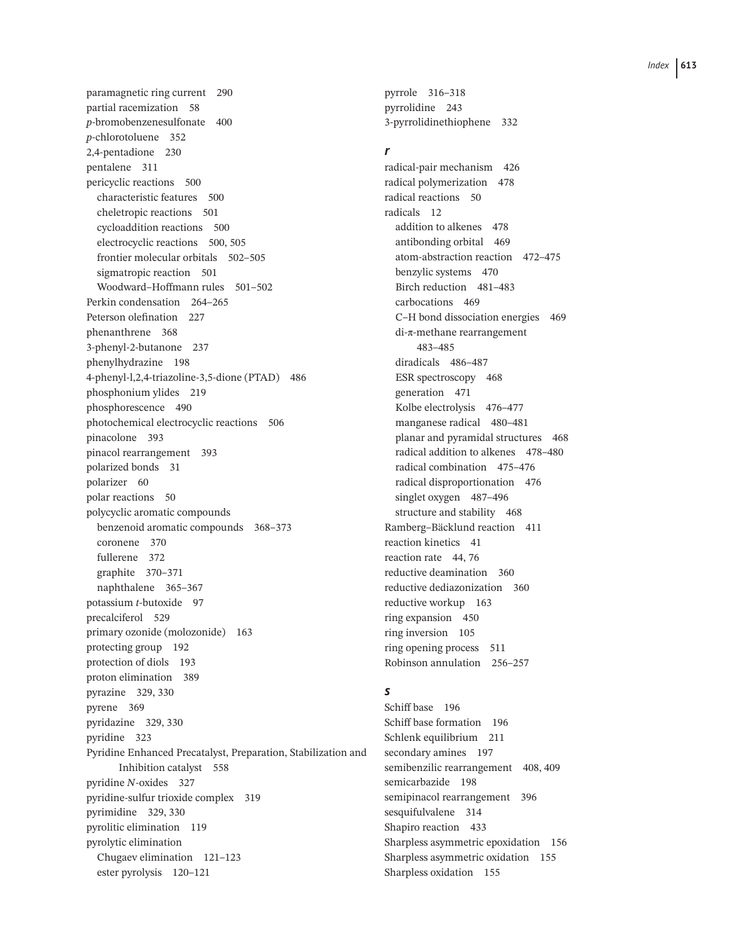paramagnetic ring current 290 partial racemization 58 *p*-bromobenzenesulfonate 400 *p*-chlorotoluene 352 2,4-pentadione 230 pentalene 311 pericyclic reactions 500 characteristic features 500 cheletropic reactions 501 cycloaddition reactions 500 electrocyclic reactions 500, 505 frontier molecular orbitals 502–505 sigmatropic reaction 501 Woodward–Hoffmann rules 501–502 Perkin condensation 264–265 Peterson olefination 227 phenanthrene 368 3-phenyl-2-butanone 237 phenylhydrazine 198 4-phenyl-l,2,4-triazoline-3,5-dione (PTAD) 486 phosphonium ylides 219 phosphorescence 490 photochemical electrocyclic reactions 506 pinacolone 393 pinacol rearrangement 393 polarized bonds 31 polarizer 60 polar reactions 50 polycyclic aromatic compounds benzenoid aromatic compounds 368–373 coronene 370 fullerene 372 graphite 370–371 naphthalene 365–367 potassium *t*-butoxide 97 precalciferol 529 primary ozonide (molozonide) 163 protecting group 192 protection of diols 193 proton elimination 389 pyrazine 329, 330 pyrene 369 pyridazine 329, 330 pyridine 323 Pyridine Enhanced Precatalyst, Preparation, Stabilization and Inhibition catalyst 558 pyridine *N*-oxides 327 pyridine-sulfur trioxide complex 319 pyrimidine 329, 330 pyrolitic elimination 119 pyrolytic elimination Chugaev elimination 121–123 ester pyrolysis 120–121

pyrrole 316–318 pyrrolidine 243 3-pyrrolidinethiophene 332

#### *r*

radical-pair mechanism 426 radical polymerization 478 radical reactions 50 radicals 12 addition to alkenes 478 antibonding orbital 469 atom-abstraction reaction 472–475 benzylic systems 470 Birch reduction 481–483 carbocations 469 C–H bond dissociation energies 469 di-π-methane rearrangement 483–485 diradicals 486–487 ESR spectroscopy 468 generation 471 Kolbe electrolysis 476–477 manganese radical 480–481 planar and pyramidal structures 468 radical addition to alkenes 478–480 radical combination 475–476 radical disproportionation 476 singlet oxygen 487–496 structure and stability 468 Ramberg–Bäcklund reaction 411 reaction kinetics 41 reaction rate 44, 76 reductive deamination 360 reductive dediazonization 360 reductive workup 163 ring expansion 450 ring inversion 105 ring opening process 511 Robinson annulation 256–257

### *s*

Schiff base 196 Schiff base formation 196 Schlenk equilibrium 211 secondary amines 197 semibenzilic rearrangement 408, 409 semicarbazide 198 semipinacol rearrangement 396 sesquifulvalene 314 Shapiro reaction 433 Sharpless asymmetric epoxidation 156 Sharpless asymmetric oxidation 155 Sharpless oxidation 155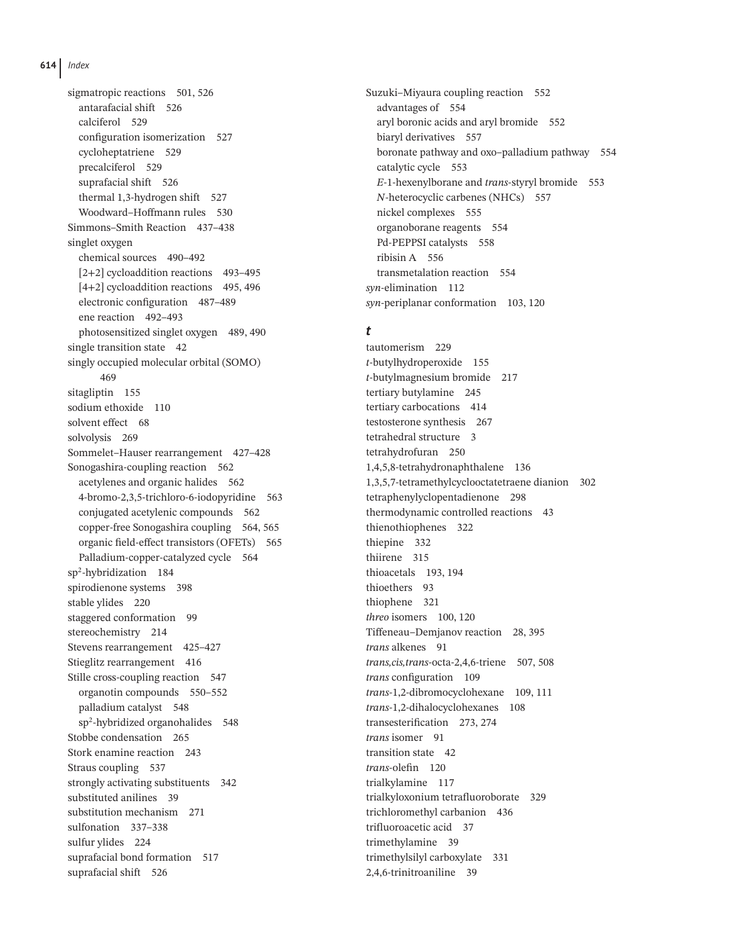sigmatropic reactions 501, 526 antarafacial shift 526 calciferol 529 configuration isomerization 527 cycloheptatriene 529 precalciferol 529 suprafacial shift 526 thermal 1,3-hydrogen shift 527 Woodward–Hoffmann rules 530 Simmons–Smith Reaction 437–438 singlet oxygen chemical sources 490–492 [2+2] cycloaddition reactions 493–495 [4+2] cycloaddition reactions 495, 496 electronic configuration 487–489 ene reaction 492–493 photosensitized singlet oxygen 489, 490 single transition state 42 singly occupied molecular orbital (SOMO) 469 sitagliptin 155 sodium ethoxide 110 solvent effect 68 solvolysis 269 Sommelet–Hauser rearrangement 427–428 Sonogashira-coupling reaction 562 acetylenes and organic halides 562 4-bromo-2,3,5-trichloro-6-iodopyridine 563 conjugated acetylenic compounds 562 copper-free Sonogashira coupling 564, 565 organic field-effect transistors (OFETs) 565 Palladium-copper-catalyzed cycle 564 sp2-hybridization 184 spirodienone systems 398 stable ylides 220 staggered conformation 99 stereochemistry 214 Stevens rearrangement 425–427 Stieglitz rearrangement 416 Stille cross-coupling reaction 547 organotin compounds 550–552 palladium catalyst 548 sp2-hybridized organohalides 548 Stobbe condensation 265 Stork enamine reaction 243 Straus coupling 537 strongly activating substituents 342 substituted anilines 39 substitution mechanism 271 sulfonation 337–338 sulfur ylides 224 suprafacial bond formation 517 suprafacial shift 526

Suzuki–Miyaura coupling reaction 552 advantages of 554 aryl boronic acids and aryl bromide 552 biaryl derivatives 557 boronate pathway and oxo–palladium pathway 554 catalytic cycle 553 *E*-1-hexenylborane and *trans*-styryl bromide 553 *N*-heterocyclic carbenes (NHCs) 557 nickel complexes 555 organoborane reagents 554 Pd-PEPPSI catalysts 558 ribisin A 556 transmetalation reaction 554 *syn*-elimination 112 *syn*-periplanar conformation 103, 120

#### *t*

tautomerism 229 *t*-butylhydroperoxide 155 *t*-butylmagnesium bromide 217 tertiary butylamine 245 tertiary carbocations 414 testosterone synthesis 267 tetrahedral structure 3 tetrahydrofuran 250 1,4,5,8-tetrahydronaphthalene 136 1,3,5,7-tetramethylcyclooctatetraene dianion 302 tetraphenylyclopentadienone 298 thermodynamic controlled reactions 43 thienothiophenes 322 thiepine 332 thiirene 315 thioacetals 193, 194 thioethers 93 thiophene 321 *threo* isomers 100, 120 Tiffeneau–Demjanov reaction 28, 395 *trans* alkenes 91 *trans,cis,trans-*octa-2,4,6-triene 507, 508 *trans* configuration 109 *trans-*1,2*-*dibromocyclohexane 109, 111 *trans-*1,2*-*dihalocyclohexanes 108 transesterification 273, 274 trans isomer 91 transition state 42 *trans*-olefin 120 trialkylamine 117 trialkyloxonium tetrafluoroborate 329 trichloromethyl carbanion 436 trifluoroacetic acid 37 trimethylamine 39 trimethylsilyl carboxylate 331 2,4,6-trinitroaniline 39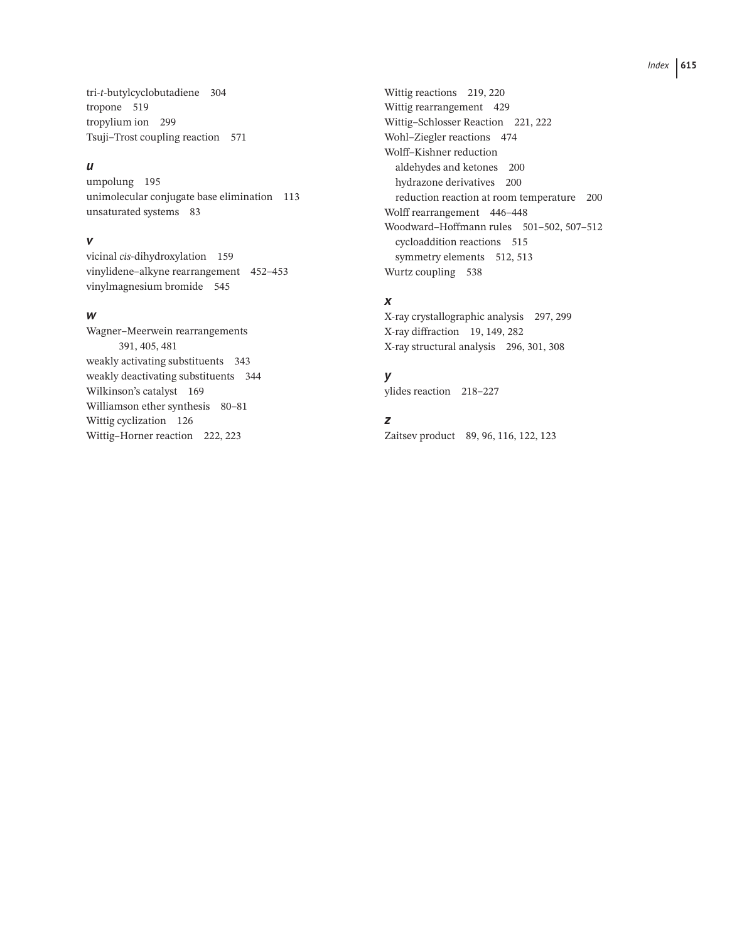tri-*t*-butylcyclobutadiene 304 tropone 519 tropylium ion 299 Tsuji–Trost coupling reaction 571

### *u*

umpolung 195 unimolecular conjugate base elimination 113 unsaturated systems 83

#### *v*

vicinal *cis*-dihydroxylation 159 vinylidene–alkyne rearrangement 452–453 vinylmagnesium bromide 545

### *w*

Wagner–Meerwein rearrangements 391, 405, 481 weakly activating substituents 343 weakly deactivating substituents 344 Wilkinson's catalyst 169 Williamson ether synthesis 80-81 Wittig cyclization 126 Wittig–Horner reaction 222, 223

Wittig reactions 219, 220 Wittig rearrangement 429 Wittig–Schlosser Reaction 221, 222 Wohl–Ziegler reactions 474 Wolff–Kishner reduction aldehydes and ketones 200 hydrazone derivatives 200 reduction reaction at room temperature 200 Wolff rearrangement 446–448 Woodward–Hoffmann rules 501–502, 507–512 cycloaddition reactions 515 symmetry elements 512, 513 Wurtz coupling 538

# *x*

X-ray crystallographic analysis 297, 299 X-ray diffraction 19, 149, 282 X-ray structural analysis 296, 301, 308

# *y*

ylides reaction 218–227

## *z*

Zaitsev product 89, 96, 116, 122, 123